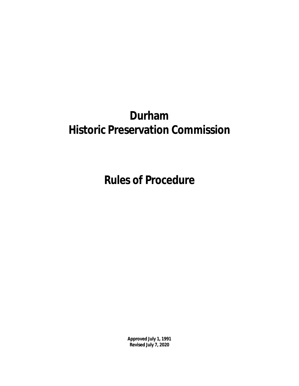# **Durham Historic Preservation Commission**

**Rules of Procedure**

**Approved July 1, 1991 Revised July 7, 2020**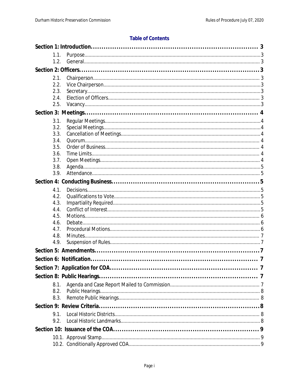#### **Table of Contents**

| 1.1. |  |
|------|--|
| 1.2. |  |
|      |  |
| 2.1. |  |
| 2.2. |  |
| 2.3. |  |
| 2.4. |  |
| 2.5. |  |
|      |  |
| 3.1. |  |
| 3.2. |  |
| 3.3. |  |
| 3.4. |  |
| 3.5. |  |
| 3.6. |  |
| 3.7. |  |
| 3.8. |  |
| 3.9. |  |
|      |  |
| 4.1. |  |
| 4.2. |  |
| 4.3. |  |
| 4.4. |  |
| 4.5. |  |
| 4.6. |  |
| 4.7. |  |
| 4.8. |  |
| 4.9. |  |
|      |  |
|      |  |
|      |  |
|      |  |
|      |  |
| 8.1. |  |
| 8.2. |  |
| 8.3. |  |
|      |  |
| 9.1. |  |
| 9.2. |  |
|      |  |
|      |  |
|      |  |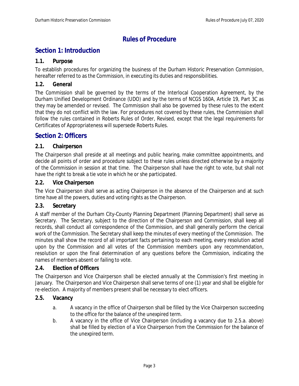# **Rules of Procedure**

# <span id="page-3-0"></span>**Section 1: Introduction**

#### <span id="page-3-1"></span>**1.1. Purpose**

To establish procedures for organizing the business of the Durham Historic Preservation Commission, hereafter referred to as the Commission, in executing its duties and responsibilities.

#### <span id="page-3-2"></span>**1.2. General**

The Commission shall be governed by the terms of the Interlocal Cooperation Agreement, by the Durham Unified Development Ordinance (UDO) and by the terms of NCGS 160A, Article 19, Part 3C as they may be amended or revised. The Commission shall also be governed by these rules to the extent that they do not conflict with the law. For procedures not covered by these rules, the Commission shall follow the rules contained in Roberts Rules of Order, Revised, except that the legal requirements for Certificates of Appropriateness will supersede Roberts Rules.

# <span id="page-3-3"></span>**Section 2: Officers**

#### <span id="page-3-4"></span>**2.1. Chairperson**

The Chairperson shall preside at all meetings and public hearing, make committee appointments, and decide all points of order and procedure subject to these rules unless directed otherwise by a majority of the Commission in session at that time. The Chairperson shall have the right to vote, but shall not have the right to break a tie vote in which he or she participated.

#### <span id="page-3-5"></span>**2.2. Vice Chairperson**

The Vice Chairperson shall serve as acting Chairperson in the absence of the Chairperson and at such time have all the powers, duties and voting rights as the Chairperson.

#### <span id="page-3-6"></span>**2.3. Secretary**

A staff member of the Durham City-County Planning Department (Planning Department) shall serve as Secretary. The Secretary, subject to the direction of the Chairperson and Commission, shall keep all records, shall conduct all correspondence of the Commission, and shall generally perform the clerical work of the Commission. The Secretary shall keep the minutes of every meeting of the Commission. The minutes shall show the record of all important facts pertaining to each meeting, every resolution acted upon by the Commission and all votes of the Commission members upon any recommendation, resolution or upon the final determination of any questions before the Commission, indicating the names of members absent or failing to vote.

#### <span id="page-3-7"></span>**2.4. Election of Officers**

The Chairperson and Vice Chairperson shall be elected annually at the Commission's first meeting in January. The Chairperson and Vice Chairperson shall serve terms of one (1) year and shall be eligible for re-election. A majority of members present shall be necessary to elect officers.

#### <span id="page-3-8"></span>**2.5. Vacancy**

- a. A vacancy in the office of Chairperson shall be filled by the Vice Chairperson succeeding to the office for the balance of the unexpired term.
- b. A vacancy in the office of Vice Chairperson (including a vacancy due to 2.5.a. above) shall be filled by election of a Vice Chairperson from the Commission for the balance of the unexpired term.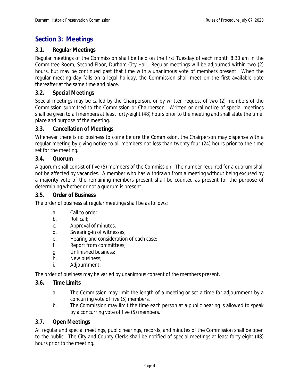# <span id="page-4-0"></span>**Section 3: Meetings**

#### <span id="page-4-1"></span>**3.1. Regular Meetings**

Regular meetings of the Commission shall be held on the first Tuesday of each month 8:30 am in the Committee Room, Second Floor, Durham City Hall. Regular meetings will be adjourned within two (2) hours, but may be continued past that time with a unanimous vote of members present. When the regular meeting day falls on a legal holiday, the Commission shall meet on the first available date thereafter at the same time and place.

#### <span id="page-4-2"></span>**3.2. Special Meetings**

Special meetings may be called by the Chairperson, or by written request of two (2) members of the Commission submitted to the Commission or Chairperson. Written or oral notice of special meetings shall be given to all members at least forty-eight (48) hours prior to the meeting and shall state the time, place and purpose of the meeting.

#### <span id="page-4-3"></span>**3.3. Cancellation of Meetings**

Whenever there is no business to come before the Commission, the Chairperson may dispense with a regular meeting by giving notice to all members not less than twenty-four (24) hours prior to the time set for the meeting.

#### <span id="page-4-4"></span>**3.4. Quorum**

A quorum shall consist of five (5) members of the Commission. The number required for a quorum shall not be affected by vacancies. A member who has withdrawn from a meeting without being excused by a majority vote of the remaining members present shall be counted as present for the purpose of determining whether or not a quorum is present.

#### <span id="page-4-5"></span>**3.5. Order of Business**

The order of business at regular meetings shall be as follows:

- a. Call to order;
- b. Roll call;
- c. Approval of minutes;
- d. Swearing-in of witnesses;
- e. Hearing and consideration of each case;
- f. Report from committees;
- g. Unfinished business;
- h. New business;
- i. Adjournment.

The order of business may be varied by unanimous consent of the members present.

#### <span id="page-4-6"></span>**3.6. Time Limits**

- a. The Commission may limit the length of a meeting or set a time for adjournment by a concurring vote of five (5) members.
- b. The Commission may limit the time each person at a public hearing is allowed to speak by a concurring vote of five (5) members.

#### <span id="page-4-7"></span>**3.7. Open Meetings**

All regular and special meetings, public hearings, records, and minutes of the Commission shall be open to the public. The City and County Clerks shall be notified of special meetings at least forty-eight (48) hours prior to the meeting.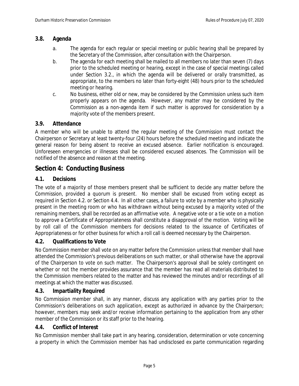## <span id="page-5-0"></span>**3.8. Agenda**

- a. The agenda for each regular or special meeting or public hearing shall be prepared by the Secretary of the Commission, after consultation with the Chairperson.
- b. The agenda for each meeting shall be mailed to all members no later than seven (7) days prior to the scheduled meeting or hearing, except in the case of special meetings called under Section 3.2., in which the agenda will be delivered or orally transmitted, as appropriate, to the members no later than forty-eight (48) hours prior to the scheduled meeting or hearing.
- c. No business, either old or new, may be considered by the Commission unless such item properly appears on the agenda. However, any matter may be considered by the Commission as a non-agenda item if such matter is approved for consideration by a majority vote of the members present.

# <span id="page-5-1"></span>**3.9. Attendance**

A member who will be unable to attend the regular meeting of the Commission must contact the Chairperson or Secretary at least twenty-four (24) hours before the scheduled meeting and indicate the general reason for being absent to receive an excused absence. Earlier notification is encouraged. Unforeseen emergencies or illnesses shall be considered excused absences. The Commission will be notified of the absence and reason at the meeting.

# <span id="page-5-2"></span>**Section 4: Conducting Business**

# <span id="page-5-3"></span>**4.1. Decisions**

The vote of a majority of those members present shall be sufficient to decide any matter before the Commission, provided a quorum is present. No member shall be excused from voting except as required in Section 4.2. or Section 4.4. In all other cases, a failure to vote by a member who is physically present in the meeting room or who has withdrawn without being excused by a majority voted of the remaining members, shall be recorded as an affirmative vote. A negative vote or a tie vote on a motion to approve a Certificate of Appropriateness shall constitute a disapproval of the motion. Voting will be by roll call of the Commission members for decisions related to the issuance of Certificates of Appropriateness or for other business for which a roll call is deemed necessary by the Chairperson.

# <span id="page-5-4"></span>**4.2. Qualifications to Vote**

No Commission member shall vote on any matter before the Commission unless that member shall have attended the Commission's previous deliberations on such matter, or shall otherwise have the approval of the Chairperson to vote on such matter. The Chairperson's approval shall be solely contingent on whether or not the member provides assurance that the member has read all materials distributed to the Commission members related to the matter and has reviewed the minutes and/or recordings of all meetings at which the matter was discussed.

#### <span id="page-5-5"></span>**4.3. Impartiality Required**

No Commission member shall, in any manner, discuss any application with any parties prior to the Commission's deliberations on such application, except as authorized in advance by the Chairperson; however, members may seek and/or receive information pertaining to the application from any other member of the Commission or its staff prior to the hearing.

#### <span id="page-5-6"></span>**4.4. Conflict of Interest**

No Commission member shall take part in any hearing, consideration, determination or vote concerning a property in which the Commission member has had undisclosed ex parte communication regarding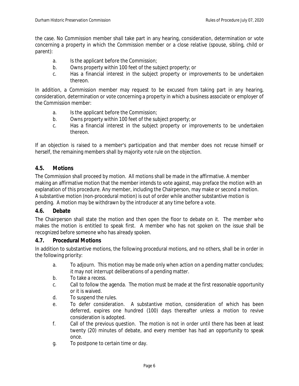the case. No Commission member shall take part in any hearing, consideration, determination or vote concerning a property in which the Commission member or a close relative (spouse, sibling, child or parent):

- a. Is the applicant before the Commission;
- b. Owns property within 100 feet of the subject property; or
- c. Has a financial interest in the subject property or improvements to be undertaken thereon.

In addition, a Commission member may request to be excused from taking part in any hearing, consideration, determination or vote concerning a property in which a business associate or employer of the Commission member:

- a. Is the applicant before the Commission;
- b. Owns property within 100 feet of the subject property; or
- c. Has a financial interest in the subject property or improvements to be undertaken thereon.

If an objection is raised to a member's participation and that member does not recuse himself or herself, the remaining members shall by majority vote rule on the objection.

## <span id="page-6-0"></span>**4.5. Motions**

The Commission shall proceed by motion. All motions shall be made in the affirmative. A member making an affirmative motion that the member intends to vote against, may preface the motion with an explanation of this procedure. Any member, including the Chairperson, may make or second a motion. A substantive motion (non-procedural motion) is out of order while another substantive motion is pending. A motion may be withdrawn by the introducer at any time before a vote.

#### <span id="page-6-1"></span>**4.6. Debate**

The Chairperson shall state the motion and then open the floor to debate on it. The member who makes the motion is entitled to speak first. A member who has not spoken on the issue shall be recognized before someone who has already spoken.

#### <span id="page-6-2"></span>**4.7. Procedural Motions**

In addition to substantive motions, the following procedural motions, and no others, shall be in order in the following priority:

- a. To adjourn. This motion may be made only when action on a pending matter concludes; it may not interrupt deliberations of a pending matter.
- b. To take a recess.
- c. Call to follow the agenda. The motion must be made at the first reasonable opportunity or it is waived.
- d. To suspend the rules.
- e. To defer consideration. A substantive motion, consideration of which has been deferred, expires one hundred (100) days thereafter unless a motion to revive consideration is adopted.
- f. Call of the previous question. The motion is not in order until there has been at least twenty (20) minutes of debate, and every member has had an opportunity to speak once.
- g. To postpone to certain time or day.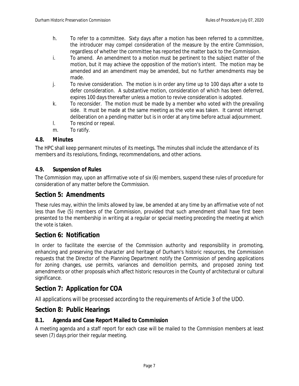- h. To refer to a committee. Sixty days after a motion has been referred to a committee, the introducer may compel consideration of the measure by the entire Commission, regardless of whether the committee has reported the matter back to the Commission.
- i. To amend. An amendment to a motion must be pertinent to the subject matter of the motion, but it may achieve the opposition of the motion's intent. The motion may be amended and an amendment may be amended, but no further amendments may be made.
- j. To revive consideration. The motion is in order any time up to 100 days after a vote to defer consideration. A substantive motion, consideration of which has been deferred, expires 100 days thereafter unless a motion to revive consideration is adopted.
- k. To reconsider. The motion must be made by a member who voted with the prevailing side. It must be made at the same meeting as the vote was taken. It cannot interrupt deliberation on a pending matter but is in order at any time before actual adjournment.
- l. To rescind or repeal.
- m. To ratify.

## <span id="page-7-0"></span>**4.8. Minutes**

The HPC shall keep permanent minutes of its meetings. The minutes shall include the attendance of its members and its resolutions, findings, recommendations, and other actions.

## <span id="page-7-1"></span>**4.9. Suspension of Rules**

The Commission may, upon an affirmative vote of six (6) members, suspend these rules of procedure for consideration of any matter before the Commission.

# <span id="page-7-2"></span>**Section 5: Amendments**

These rules may, within the limits allowed by law, be amended at any time by an affirmative vote of not less than five (5) members of the Commission, provided that such amendment shall have first been presented to the membership in writing at a regular or special meeting preceding the meeting at which the vote is taken.

# <span id="page-7-3"></span>**Section 6: Notification**

In order to facilitate the exercise of the Commission authority and responsibility in promoting, enhancing and preserving the character and heritage of Durham's historic resources, the Commission requests that the Director of the Planning Department notify the Commission of pending applications for zoning changes, use permits, variances and demolition permits, and proposed zoning text amendments or other proposals which affect historic resources in the County of architectural or cultural significance.

# <span id="page-7-4"></span>**Section 7: Application for COA**

All applications will be processed according to the requirements of Article 3 of the UDO.

# <span id="page-7-5"></span>**Section 8: Public Hearings**

#### <span id="page-7-6"></span>**8.1. Agenda and Case Report Mailed to Commission**

A meeting agenda and a staff report for each case will be mailed to the Commission members at least seven (7) days prior their regular meeting.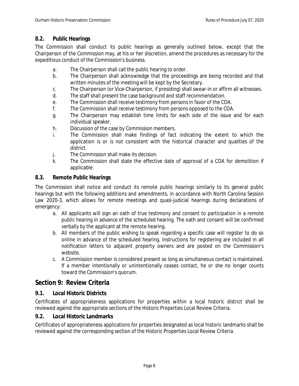# <span id="page-8-0"></span>**8.2. Public Hearings**

The Commission shall conduct its public hearings as generally outlined below, except that the Chairperson of the Commission may, at his or her discretion, amend the procedures as necessary for the expeditious conduct of the Commission's business.

- a. The Chairperson shall call the public hearing to order.
- b. The Chairperson shall acknowledge that the proceedings are being recorded and that written minutes of the meeting will be kept by the Secretary.
- c. The Chairperson (or Vice-Chairperson, if presiding) shall swear-in or affirm all witnesses.
- d. The staff shall present the case background and staff recommendation.
- e. The Commission shall receive testimony from persons in favor of the COA.
- f. The Commission shall receive testimony from persons opposed to the COA.
- g. The Chairperson may establish time limits for each side of the issue and for each individual speaker.
- h. Discussion of the case by Commission members.
- i. The Commission shall make findings of fact indicating the extent to which the application is or is not consistent with the historical character and qualities of the district.
- j. The Commission shall make its decision.
- k. The Commission shall state the effective date of approval of a COA for demolition if applicable.

## **8.3. Remote Public Hearings**

The Commission shall notice and conduct its remote public hearings similarly to its general public hearings but with the following additions and amendments, in accordance with North Carolina Session Law 2020-3, which allows for remote meetings and quasi-judicial hearings during declarations of emergency:

- a. All applicants will sign an oath of true testimony and consent to participation in a remote public hearing in advance of the scheduled hearing. The oath and consent will be confirmed verbally by the applicant at the remote hearing.
- b. All members of the public wishing to speak regarding a specific case will register to do so online in advance of the scheduled hearing. Instructions for registering are included in all notification letters to adjacent property owners and are posted on the Commission's website.
- c. A Commission member is considered present so long as simultaneous contact is maintained. If a member intentionally or unintentionally ceases contact, he or she no longer counts toward the Commission's quorum.

# <span id="page-8-1"></span>**Section 9: Review Criteria**

# <span id="page-8-2"></span>**9.1. Local Historic Districts**

Certificates of appropriateness applications for properties within a local historic district shall be reviewed against the appropriate sections of the Historic Properties Local Review Criteria.

#### <span id="page-8-3"></span>**9.2. Local Historic Landmarks**

Certificates of appropriateness applications for properties designated as local historic landmarks shall be reviewed against the corresponding section of the Historic Properties Local Review Criteria.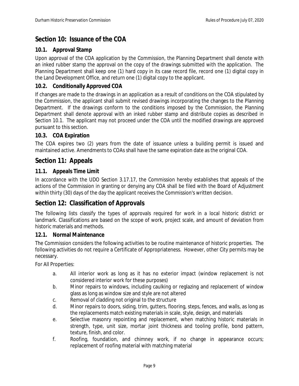# <span id="page-9-0"></span>**Section 10: Issuance of the COA**

## <span id="page-9-1"></span>**10.1. Approval Stamp**

Upon approval of the COA application by the Commission, the Planning Department shall denote with an inked rubber stamp the approval on the copy of the drawings submitted with the application. The Planning Department shall keep one (1) hard copy in its case record file, record one (1) digital copy in the Land Development Office, and return one (1) digital copy to the applicant.

#### <span id="page-9-2"></span>**10.2. Conditionally Approved COA**

If changes are made to the drawings in an application as a result of conditions on the COA stipulated by the Commission, the applicant shall submit revised drawings incorporating the changes to the Planning Department. If the drawings conform to the conditions imposed by the Commission, the Planning Department shall denote approval with an inked rubber stamp and distribute copies as described in Section 10.1. The applicant may not proceed under the COA until the modified drawings are approved pursuant to this section.

## <span id="page-9-3"></span>**10.3. COA Expiration**

The COA expires two (2) years from the date of issuance unless a building permit is issued and maintained active. Amendments to COAs shall have the same expiration date as the original COA.

# <span id="page-9-4"></span>**Section 11: Appeals**

## <span id="page-9-5"></span>**11.1. Appeals Time Limit**

In accordance with the UDO Section 3.17.17, the Commission hereby establishes that appeals of the actions of the Commission in granting or denying any COA shall be filed with the Board of Adjustment within thirty (30) days of the day the applicant receives the Commission's written decision.

# <span id="page-9-6"></span>**Section 12: Classification of Approvals**

The following lists classify the types of approvals required for work in a local historic district or landmark. Classifications are based on the scope of work, project scale, and amount of deviation from historic materials and methods.

#### <span id="page-9-7"></span>**12.1. Normal Maintenance**

The Commission considers the following activities to be routine maintenance of historic properties. The following activities do not require a Certificate of Appropriateness. However, other City permits may be necessary.

For All Properties:

- a. All interior work as long as it has no exterior impact (window replacement is not considered interior work for these purposes)
- b. Minor repairs to windows, including caulking or reglazing and replacement of window glass as long as window size and style are not altered
- c. Removal of cladding not original to the structure
- d. Minor repairs to doors, siding, trim, gutters, flooring, steps, fences, and walls, as long as the replacements match existing materials in scale, style, design, and materials
- e. Selective masonry repointing and replacement, when matching historic materials in strength, type, unit size, mortar joint thickness and tooling profile, bond pattern, texture, finish, and color.
- f. Roofing, foundation, and chimney work, if no change in appearance occurs; replacement of roofing material with matching material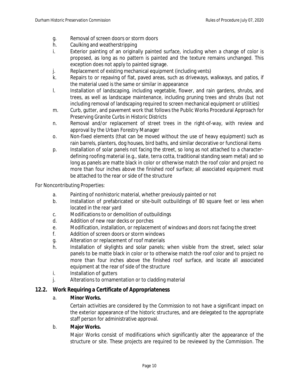- g. Removal of screen doors or storm doors
- h. Caulking and weatherstripping
- i. Exterior painting of an originally painted surface, including when a change of color is proposed, as long as no pattern is painted and the texture remains unchanged. This exception does not apply to painted signage.
- j. Replacement of existing mechanical equipment (including vents)
- k. Repairs to or repaving of flat, paved areas, such as driveways, walkways, and patios, if the material used is the same or similar in appearance
- l. Installation of landscaping, including vegetable, flower, and rain gardens, shrubs, and trees, as well as landscape maintenance, including pruning trees and shrubs (but not including removal of landscaping required to screen mechanical equipment or utilities)
- m. Curb, gutter, and pavement work that follows the Public Works Procedural Approach for Preserving Granite Curbs in Historic Districts
- n. Removal and/or replacement of street trees in the right-of-way, with review and approval by the Urban Forestry Manager
- o. Non-fixed elements (that can be moved without the use of heavy equipment) such as rain barrels, planters, dog houses, bird baths, and similar decorative or functional items
- p. Installation of solar panels not facing the street, so long as not attached to a characterdefining roofing material (e.g., slate, terra cotta, traditional standing seam metal) and so long as panels are matte black in color or otherwise match the roof color and project no more than four inches above the finished roof surface; all associated equipment must be attached to the rear or side of the structure

For Noncontributing Properties:

- a. Painting of nonhistoric material, whether previously painted or not
- b. Installation of prefabricated or site-built outbuildings of 80 square feet or less when located in the rear yard
- c. Modifications to or demolition of outbuildings
- d. Addition of new rear decks or porches
- e. Modification, installation, or replacement of windows and doors not facing the street
- f. Addition of screen doors or storm windows
- g. Alteration or replacement of roof materials
- h. Installation of skylights and solar panels; when visible from the street, select solar panels to be matte black in color or to otherwise match the roof color and to project no more than four inches above the finished roof surface, and locate all associated equipment at the rear of side of the structure
- i. Installation of gutters
- j. Alterations to ornamentation or to cladding material

#### <span id="page-10-0"></span>**12.2. Work Requiring a Certificate of Appropriateness**

#### a. **Minor Works.**

Certain activities are considered by the Commission to not have a significant impact on the exterior appearance of the historic structures, and are delegated to the appropriate staff person for administrative approval.

#### b. **Major Works.**

Major Works consist of modifications which significantly alter the appearance of the structure or site. These projects are required to be reviewed by the Commission. The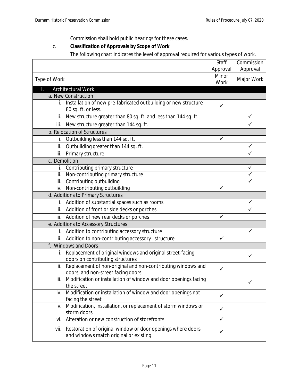Commission shall hold public hearings for these cases.

# c. **Classification of Approvals by Scope of Work**

The following chart indicates the level of approval required for various types of work.

|               |                                                                                                       | Staff<br>Approval | Commission<br>Approval |
|---------------|-------------------------------------------------------------------------------------------------------|-------------------|------------------------|
| Type of Work  |                                                                                                       | Minor<br>Work     | Major Work             |
|               | Architectural Work                                                                                    |                   |                        |
|               | a. New Construction                                                                                   |                   |                        |
| i.            | Installation of new pre-fabricated outbuilding or new structure<br>80 sq. ft. or less.                | ✓                 |                        |
| ii.           | New structure greater than 80 sq. ft. and less than 144 sq. ft.                                       |                   | ✓                      |
| iii.          | New structure greater than 144 sq. ft.                                                                |                   | ✓                      |
|               | b. Relocation of Structures                                                                           |                   |                        |
| İ.            | Outbuilding less than 144 sq. ft.                                                                     | $\checkmark$      |                        |
| ii.           | Outbuilding greater than 144 sq. ft.                                                                  |                   | ✓                      |
| iii.          | Primary structure                                                                                     |                   | ✓                      |
| c. Demolition |                                                                                                       |                   |                        |
| İ.            | Contributing primary structure                                                                        |                   | ✓                      |
| ii.           | Non-contributing primary structure                                                                    |                   | ✓                      |
| iii.          | Contributing outbuilding                                                                              |                   |                        |
| iv.           | Non-contributing outbuilding                                                                          | ✓                 |                        |
|               | d. Additions to Primary Structures                                                                    |                   |                        |
| i.            | Addition of substantial spaces such as rooms                                                          |                   |                        |
|               | ii. Addition of front or side decks or porches                                                        |                   |                        |
| iii.          | Addition of new rear decks or porches                                                                 | ✓                 |                        |
|               | e. Additions to Accessory Structures                                                                  |                   |                        |
| İ.            | Addition to contributing accessory structure                                                          |                   | ✓                      |
|               | ii. Addition to non-contributing accessory structure                                                  | $\checkmark$      |                        |
|               | f. Windows and Doors                                                                                  |                   |                        |
| İ.            | Replacement of original windows and original street-facing<br>doors on contributing structures        |                   | ✓                      |
| ii.           | Replacement of non-original and non-contributing windows and<br>doors, and non-street facing doors    | ✓                 |                        |
| iii.          | Modification or installation of window and door openings facing<br>the street                         |                   | $\checkmark$           |
| iv.           | Modification or installation of window and door openings not                                          | ✓                 |                        |
| V.            | facing the street<br>Modification, installation, or replacement of storm windows or<br>storm doors    | $\checkmark$      |                        |
| vi.           | Alteration or new construction of storefronts                                                         | $\checkmark$      |                        |
| vii.          | Restoration of original window or door openings where doors<br>and windows match original or existing | ✓                 |                        |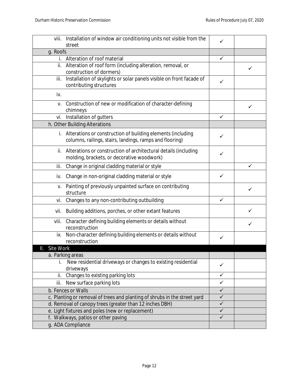| viii.                               | Installation of window air conditioning units not visible from the                                                         | ✓            |   |
|-------------------------------------|----------------------------------------------------------------------------------------------------------------------------|--------------|---|
|                                     | street                                                                                                                     |              |   |
| g. Roofs                            |                                                                                                                            |              |   |
| İ.                                  | Alteration of roof material                                                                                                | ✓            |   |
| ii.                                 | Alteration of roof form (including alteration, removal, or<br>construction of dormers)                                     |              | ✓ |
| iii.                                | Installation of skylights or solar panels visible on front facade of<br>contributing structures                            | ✓            |   |
| iv.                                 |                                                                                                                            |              |   |
| V.                                  | Construction of new or modification of character-defining<br>chimneys                                                      |              | ✓ |
| vi.                                 | Installation of gutters                                                                                                    | $\checkmark$ |   |
|                                     | h. Other Building Alterations                                                                                              |              |   |
|                                     | i. Alterations or construction of building elements (including<br>columns, railings, stairs, landings, ramps and flooring) | ✓            |   |
| ii.                                 | Alterations or construction of architectural details (including<br>molding, brackets, or decorative woodwork)              | $\checkmark$ |   |
| iii.                                | Change in original cladding material or style                                                                              |              | ✓ |
| iv.                                 | Change in non-original cladding material or style                                                                          | $\checkmark$ |   |
| V.                                  | Painting of previously unpainted surface on contributing<br>structure                                                      |              | ✓ |
| vi.                                 | Changes to any non-contributing outbuilding                                                                                | $\checkmark$ |   |
| vii.                                | Building additions, porches, or other extant features                                                                      |              | ✓ |
| viii.                               | Character defining building elements or details without<br>reconstruction                                                  |              | ✓ |
| ix.                                 | Non-character defining building elements or details without<br>reconstruction                                              | ✓            |   |
| Site Work<br>Ш.                     |                                                                                                                            |              |   |
|                                     | a. Parking areas                                                                                                           |              |   |
|                                     | New residential driveways or changes to existing residential<br>driveways                                                  | ✓            |   |
| ii.                                 | Changes to existing parking lots                                                                                           | ✓            |   |
| iii.                                | New surface parking lots                                                                                                   | $\checkmark$ |   |
| b. Fences or Walls                  |                                                                                                                            | $\checkmark$ |   |
|                                     | c. Planting or removal of trees and planting of shrubs in the street yard                                                  | $\checkmark$ |   |
|                                     | d. Removal of canopy trees (greater than 12 inches DBH)                                                                    | $\checkmark$ |   |
|                                     | e. Light fixtures and poles (new or replacement)                                                                           | $\checkmark$ |   |
| f. Walkways, patios or other paving |                                                                                                                            | $\checkmark$ |   |
|                                     | g. ADA Compliance                                                                                                          |              |   |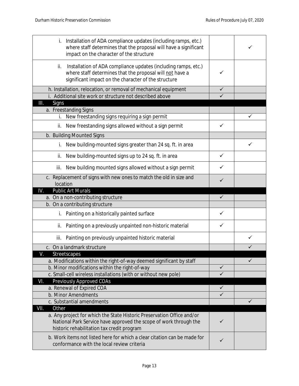| Installation of ADA compliance updates (including ramps, etc.)<br>i.<br>where staff determines that the proposal will have a significant<br>impact on the character of the structure      |              |   |
|-------------------------------------------------------------------------------------------------------------------------------------------------------------------------------------------|--------------|---|
| Installation of ADA compliance updates (including ramps, etc.)<br>ii.<br>where staff determines that the proposal will not have a<br>significant impact on the character of the structure | ✓            |   |
| h. Installation, relocation, or removal of mechanical equipment                                                                                                                           | ✓            |   |
| i. Additional site work or structure not described above                                                                                                                                  |              |   |
| III.<br>Signs                                                                                                                                                                             |              |   |
| a. Freestanding Signs                                                                                                                                                                     |              |   |
| New freestanding signs requiring a sign permit<br>i.                                                                                                                                      |              | ✓ |
| New freestanding signs allowed without a sign permit<br>ii.                                                                                                                               | ✓            |   |
| b. Building Mounted Signs                                                                                                                                                                 |              |   |
| New building-mounted signs greater than 24 sq. ft. in area<br>i.                                                                                                                          |              |   |
| New building-mounted signs up to 24 sq. ft. in area<br>ii.                                                                                                                                | ✓            |   |
| New building mounted signs allowed without a sign permit<br>iii.                                                                                                                          | ✓            |   |
| c. Replacement of signs with new ones to match the old in size and<br>location                                                                                                            | ✓            |   |
| <b>Public Art Murals</b><br>IV.                                                                                                                                                           |              |   |
|                                                                                                                                                                                           |              |   |
| a. On a non-contributing structure                                                                                                                                                        | ✓            |   |
| b. On a contributing structure                                                                                                                                                            |              |   |
| Painting on a historically painted surface<br>İ.                                                                                                                                          | ✓            |   |
| Painting on a previously unpainted non-historic material<br>ii.                                                                                                                           | ✓            |   |
| Painting on previously unpainted historic material<br>iii.                                                                                                                                |              |   |
| c. On a landmark structure                                                                                                                                                                |              |   |
|                                                                                                                                                                                           |              |   |
| Streetscapes<br>a. Modifications within the right-of-way deemed significant by staff                                                                                                      |              | ✓ |
| b. Minor modifications within the right-of-way                                                                                                                                            | ✓            |   |
| c. Small-cell wireless installations (with or without new pole)                                                                                                                           | $\checkmark$ |   |
| Previously Approved COAs<br>VI.                                                                                                                                                           |              |   |
| a. Renewal of Expired COA                                                                                                                                                                 | ✓            |   |
| b. Minor Amendments                                                                                                                                                                       | ✓            |   |
| c. Substantial amendments                                                                                                                                                                 |              | ✓ |
| VII.<br>Other                                                                                                                                                                             |              |   |
| a. Any project for which the State Historic Preservation Office and/or<br>National Park Service have approved the scope of work through the<br>historic rehabilitation tax credit program | ✓            |   |